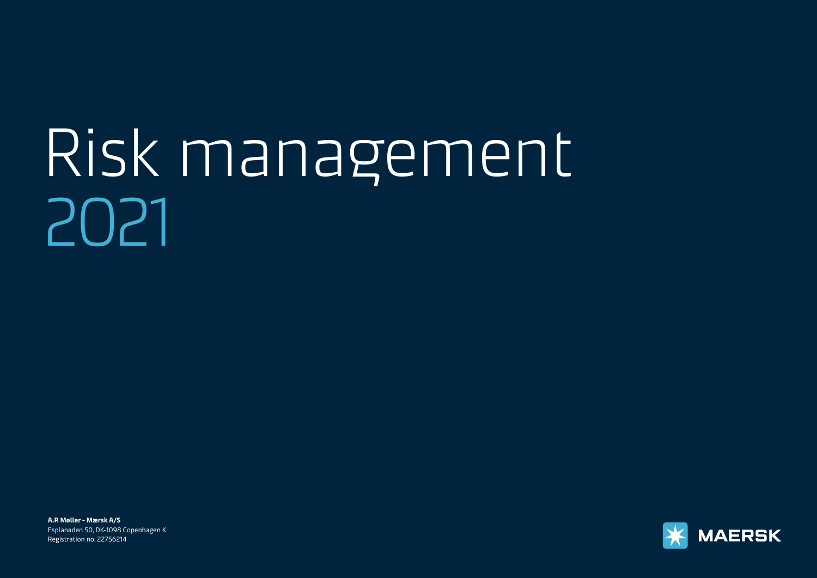# [Risk management](#page-1-0)  2021

**A.P. Møller - Mærsk A/S**  Esplanaden 50, DK-1098 Copenhagen K Registration no. 22756214

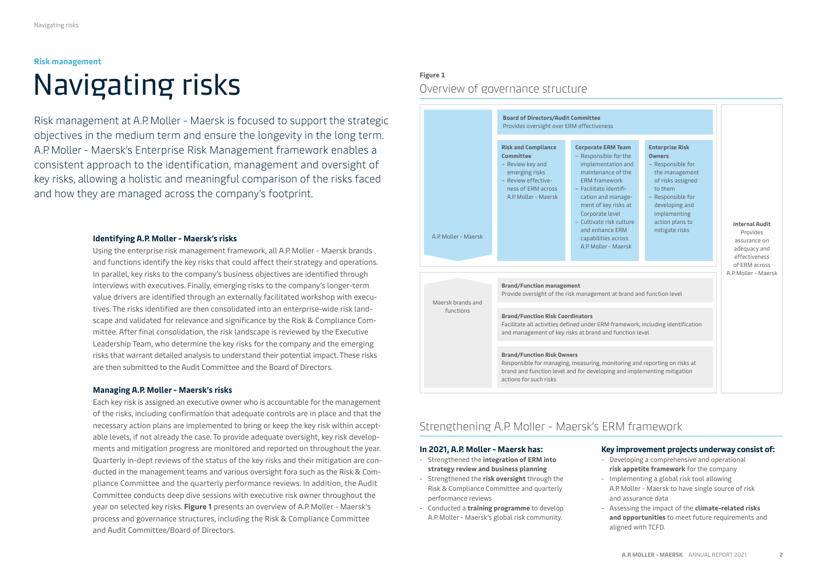# <span id="page-1-0"></span>Navigating risks **Risk management**

Risk management at A.P. Moller - Maersk is focused to support the strategic objectives in the medium term and ensure the longevity in the long term. A.P. Moller - Maersk's Enterprise Risk Management framework enables a consistent approach to the identification, management and oversight of key risks, allowing a holistic and meaningful comparison of the risks faced and how they are managed across the company's footprint.

## **Identifying A.P. Moller - Maersk's risks**

Using the enterprise risk management framework, all A.P. Moller - Maersk brands and functions identify the key risks that could affect their strategy and operations. In parallel, key risks to the company's business objectives are identified through interviews with executives. Finally, emerging risks to the company's longer-term value drivers are identified through an externally facilitated workshop with executives. The risks identified are then consolidated into an enterprise-wide risk landscape and validated for relevance and significance by the Risk & Compliance Committee. After final consolidation, the risk landscape is reviewed by the Executive Leadership Team, who determine the key risks for the company and the emerging risks that warrant detailed analysis to understand their potential impact. These risks are then submitted to the Audit Committee and the Board of Directors.

## **Managing A.P. Moller - Maersk's risks**

Each key risk is assigned an executive owner who is accountable for the management of the risks, including confirmation that adequate controls are in place and that the necessary action plans are implemented to bring or keep the key risk within acceptable levels, if not already the case. To provide adequate oversight, key risk developments and mitigation progress are monitored and reported on throughout the year. Quarterly in-dept reviews of the status of the key risks and their mitigation are conducted in the management teams and various oversight fora such as the Risk & Compliance Committee and the quarterly performance reviews. In addition, the Audit Committee conducts deep dive sessions with executive risk owner throughout the year on selected key risks. **Figure 1** presents an overview of A.P. Moller - Maersk's process and governance structures, including the Risk & Compliance Committee and Audit Committee/Board of Directors.

# **Figure 1**  Overview of governance structure



# Strengthening A.P. Moller - Maersk's ERM framework

## **In 2021, A.P. Moller - Maersk has:**

- Strengthened the **integration of ERM into strategy review and business planning**
- Strengthened the **risk oversight** through the Risk & Compliance Committee and quarterly performance reviews
- Conducted a **training programme** to develop A.P. Moller - Maersk's global risk community.

## **Key improvement projects underway consist of:**

- Developing a comprehensive and operational **risk appetite framework** for the company
- Implementing a global risk tool allowing A.P. Moller - Maersk to have single source of risk and assurance data
- Assessing the impact of the **climate-related risks and opportunities** to meet future requirements and aligned with TCFD.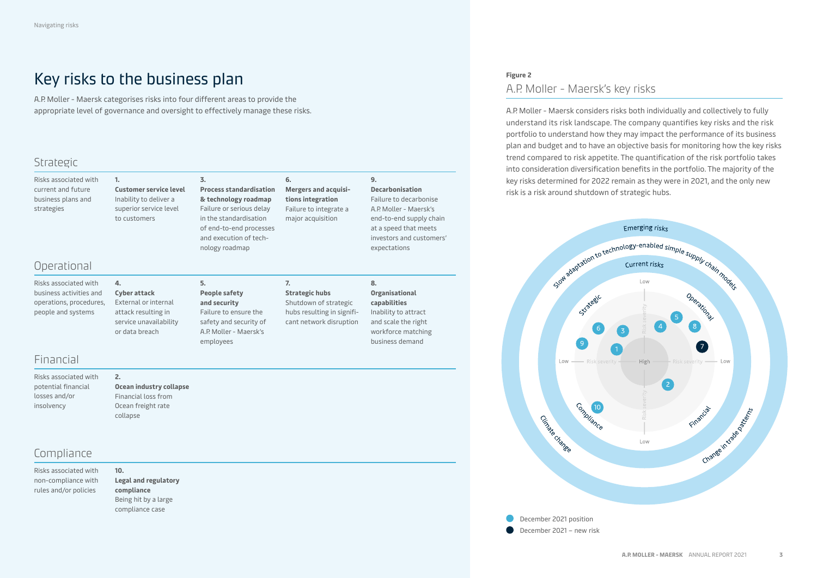# Key risks to the business plan

**Customer service level** Inability to deliver a superior service level to customers

A.P. Moller - Maersk categorises risks into four different areas to provide the appropriate level of governance and oversight to effectively manage these risks. A.P. Moller - Maersk considers risks both individually and collectively to fully

# Strategic

| Risks associated with |  |  |  |  |  |  |
|-----------------------|--|--|--|--|--|--|
| current and future    |  |  |  |  |  |  |
| business plans and    |  |  |  |  |  |  |
| strategies            |  |  |  |  |  |  |
|                       |  |  |  |  |  |  |

# Operational

Risks associated with business activities and operations, procedures, people and systems

## **Cyber attack** External or internal attack resulting in service unavailability or data breach

**2.**

**4.**

**1.**

## **5. People safety and security** Failure to ensure the safety and security of A.P. Moller - Maersk's

employees

**3.**

**Process standardisation & technology roadmap**  Failure or serious delay in the standardisation of end-to-end processes and execution of technology roadmap

# **7.**

**6.**

**Strategic hubs**  Shutdown of strategic hubs resulting in significant network disruption

**Mergers and acquisitions integration**  Failure to integrate a major acquisition

## **8. Organisational capabilities** Inability to attract and scale the right workforce matching business demand

expectations

**9.**

**Decarbonisation** Failure to decarbonise A.P. Moller - Maersk's end-to-end supply chain at a speed that meets investors and customers'

# **Figure 2**  A.P. Moller - Maersk's key risks

understand its risk landscape. The company quantifies key risks and the risk portfolio to understand how they may impact the performance of its business plan and budget and to have an objective basis for monitoring how the key risks trend compared to risk appetite. The quantification of the risk portfolio takes into consideration diversification benefits in the portfolio. The majority of the key risks determined for 2022 remain as they were in 2021, and the only new risk is a risk around shutdown of strategic hubs.



# Compliance

Financial

Risks associated with potential financial losses and/or insolvency

Risks associated with non-compliance with rules and/or policies

## **10. Legal and regulatory compliance** Being hit by a large compliance case

**Ocean industry collapse** Financial loss from Ocean freight rate collapse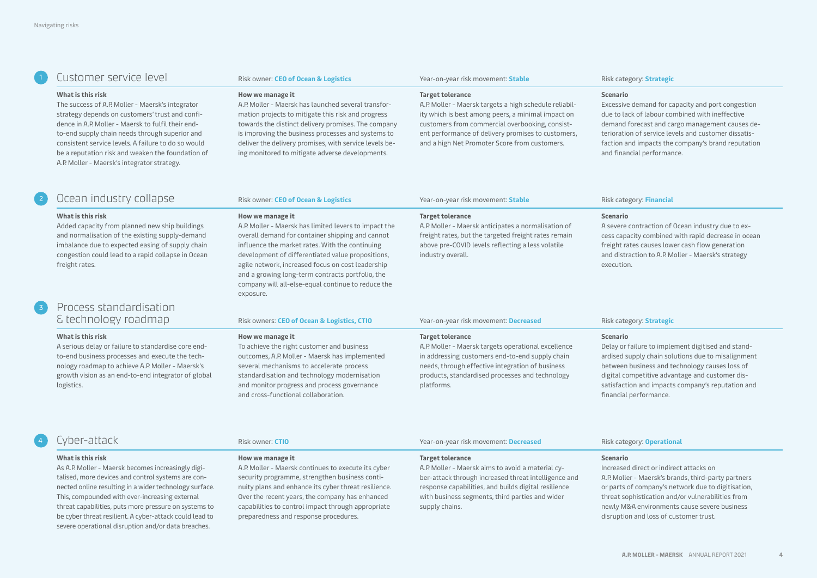# <sup>1</sup> Customer service level Risk owner: **CEO of Ocean & Logistics** Year-on-year risk movement: **Stable** Risk category: **Strategic**

#### **What is this risk**

The success of A.P. Moller - Maersk's integrator strategy depends on customers' trust and confidence in A.P. Moller - Maersk to fulfil their endto-end supply chain needs through superior and consistent service levels. A failure to do so would be a reputation risk and weaken the foundation of A.P. Moller - Maersk's integrator strategy.

#### **How we manage it**

A.P. Moller - Maersk has launched several transformation projects to mitigate this risk and progress towards the distinct delivery promises. The company is improving the business processes and systems to deliver the delivery promises, with service levels being monitored to mitigate adverse developments.

A.P. Moller - Maersk has limited levers to impact the overall demand for container shipping and cannot influence the market rates. With the continuing development of differentiated value propositions, agile network, increased focus on cost leadership and a growing long-term contracts portfolio, the company will all-else-equal continue to reduce the

#### **Target tolerance**

A.P. Moller - Maersk targets a high schedule reliability which is best among peers, a minimal impact on customers from commercial overbooking, consistent performance of delivery promises to customers, and a high Net Promoter Score from customers.

A.P. Moller - Maersk anticipates a normalisation of freight rates, but the targeted freight rates remain above pre-COVID levels reflecting a less volatile

#### **Scenario**

Excessive demand for capacity and port congestion due to lack of labour combined with ineffective demand forecast and cargo management causes deterioration of service levels and customer dissatisfaction and impacts the company's brand reputation and financial performance.

# <sup>2</sup> Ocean industry collapse Risk owner: **CEO of Ocean & Logistics** Year-on-year risk movement: **Stable** Risk category: **Financial**

#### **What is this risk**

Added capacity from planned new ship buildings and normalisation of the existing supply-demand imbalance due to expected easing of supply chain congestion could lead to a rapid collapse in Ocean freight rates.

# <sup>3</sup> Process standardisation & technology roadmap Risk owners: **CEO of Ocean & Logistics, CTIO** Year-on-year risk movement: **Decreased** Risk category: **Strategic**

#### **What is this risk**

A serious delay or failure to standardise core endto-end business processes and execute the technology roadmap to achieve A.P. Moller - Maersk's growth vision as an end-to-end integrator of global logistics.

| $\sim$ owners. CLO or ocean $\alpha$ Logistics, |  |  |  |  |
|-------------------------------------------------|--|--|--|--|
|                                                 |  |  |  |  |

#### **How we manage it**

exposure.

**How we manage it**

To achieve the right customer and business outcomes, A.P. Moller - Maersk has implemented several mechanisms to accelerate process standardisation and technology modernisation and monitor progress and process governance and cross-functional collaboration.

#### **Target tolerance**

**Target tolerance**

industry overall.

A.P. Moller - Maersk targets operational excellence in addressing customers end-to-end supply chain needs, through effective integration of business products, standardised processes and technology platforms.

### **Scenario**

A severe contraction of Ocean industry due to excess capacity combined with rapid decrease in ocean freight rates causes lower cash flow generation and distraction to A.P. Moller - Maersk's strategy execution.

#### **Scenario**

Delay or failure to implement digitised and standardised supply chain solutions due to misalignment between business and technology causes loss of digital competitive advantage and customer dissatisfaction and impacts company's reputation and financial performance.

# <sup>4</sup> Cyber-attack Risk owner: **CTIO** Year-on-year risk movement: **Decreased** Risk category: **Operational**

#### **What is this risk**

As A.P. Moller - Maersk becomes increasingly digitalised, more devices and control systems are connected online resulting in a wider technology surface. This, compounded with ever-increasing external threat capabilities, puts more pressure on systems to be cyber threat resilient. A cyber-attack could lead to severe operational disruption and/or data breaches.

#### **How we manage it**

A.P. Moller - Maersk continues to execute its cyber security programme, strengthen business continuity plans and enhance its cyber threat resilience. Over the recent years, the company has enhanced capabilities to control impact through appropriate preparedness and response procedures.

#### **Target tolerance**

A.P. Moller - Maersk aims to avoid a material cyber-attack through increased threat intelligence and response capabilities, and builds digital resilience with business segments, third parties and wider supply chains.

## **Scenario**

Increased direct or indirect attacks on A.P. Moller - Maersk's brands, third-party partners or parts of company's network due to digitisation, threat sophistication and/or vulnerabilities from newly M&A environments cause severe business disruption and loss of customer trust.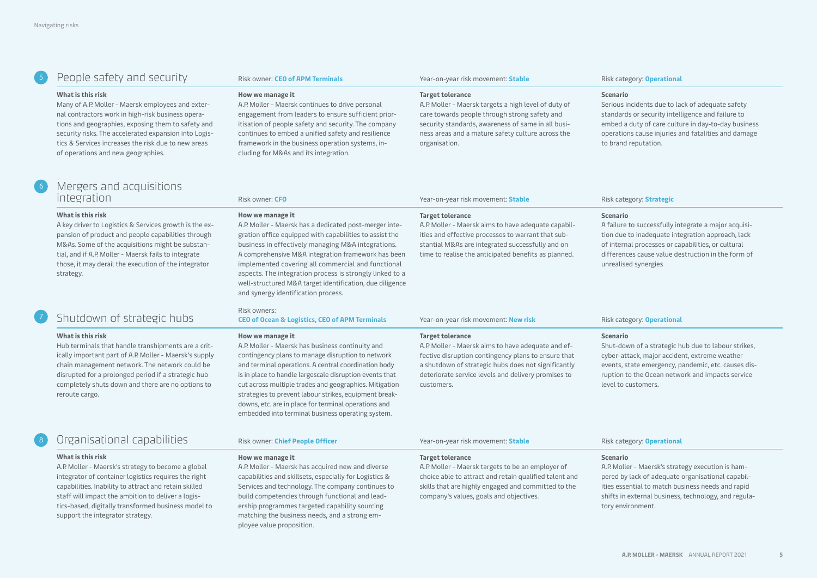# <sup>5</sup> People safety and security Risk owner: **CEO of APM Terminals** Year-on-year risk movement: **Stable** Risk category: **Operational**

#### **What is this risk**

Many of A.P. Moller - Maersk employees and external contractors work in high-risk business operations and geographies, exposing them to safety and security risks. The accelerated expansion into Logistics & Services increases the risk due to new areas of operations and new geographies.

#### **How we manage it**

A.P. Moller - Maersk continues to drive personal engagement from leaders to ensure sufficient prioritisation of people safety and security. The company continues to embed a unified safety and resilience framework in the business operation systems, including for M&As and its integration.

A.P. Moller - Maersk has a dedicated post-merger integration office equipped with capabilities to assist the business in effectively managing M&A integrations. A comprehensive M&A integration framework has been implemented covering all commercial and functional aspects. The integration process is strongly linked to a well-structured M&A target identification, due diligence

#### **Target tolerance**

A.P. Moller - Maersk targets a high level of duty of care towards people through strong safety and security standards, awareness of same in all business areas and a mature safety culture across the organisation.

A.P. Moller - Maersk aims to have adequate capabilities and effective processes to warrant that substantial M&As are integrated successfully and on time to realise the anticipated benefits as planned.

#### **Scenario**

Serious incidents due to lack of adequate safety standards or security intelligence and failure to embed a duty of care culture in day-to-day business operations cause injuries and fatalities and damage to brand reputation.

# Mergers and acquisitions integration Risk owner: **CFO** Year-on-year risk movement: **Stable** Risk category: **Strategic**

#### **What is this risk**

A key driver to Logistics & Services growth is the expansion of product and people capabilities through M&As. Some of the acquisitions might be substantial, and if A.P. Moller - Maersk fails to integrate those, it may derail the execution of the integrator strategy.

#### and synergy identification process.

# Shutdown of strategic hubs

#### **What is this risk**

Hub terminals that handle transhipments are a critically important part of A.P. Moller - Maersk's supply chain management network. The network could be disrupted for a prolonged period if a strategic hub completely shuts down and there are no options to reroute cargo.

# <sup>8</sup> Organisational capabilities Risk owner: **Chief People Officer** Year-on-year risk movement: **Stable** Risk category: **Operational**

#### **What is this risk**

A.P. Moller - Maersk's strategy to become a global integrator of container logistics requires the right capabilities. Inability to attract and retain skilled staff will impact the ambition to deliver a logistics-based, digitally transformed business model to support the integrator strategy.

## Risk owners:

**How we manage it**

## **CEO of Ocean & Logistics, CEO of APM Terminals** Year-on-year risk movement: **New risk** Microsoft Risk category: Operational

#### **How we manage it**

A.P. Moller - Maersk has business continuity and contingency plans to manage disruption to network and terminal operations. A central coordination body is in place to handle largescale disruption events that cut across multiple trades and geographies. Mitigation strategies to prevent labour strikes, equipment breakdowns, etc. are in place for terminal operations and embedded into terminal business operating system.

#### **Target tolerance**

**Target tolerance**

A.P. Moller - Maersk aims to have adequate and effective disruption contingency plans to ensure that a shutdown of strategic hubs does not significantly deteriorate service levels and delivery promises to customers.

## **Scenario**

A failure to successfully integrate a major acquisition due to inadequate integration approach, lack of internal processes or capabilities, or cultural differences cause value destruction in the form of unrealised synergies

## **Scenario**

Shut-down of a strategic hub due to labour strikes, cyber-attack, major accident, extreme weather events, state emergency, pandemic, etc. causes disruption to the Ocean network and impacts service level to customers.

#### **How we manage it**

A.P. Moller - Maersk has acquired new and diverse capabilities and skillsets, especially for Logistics & Services and technology. The company continues to build competencies through functional and leadership programmes targeted capability sourcing matching the business needs, and a strong employee value proposition.

#### **Target tolerance**

A.P. Moller - Maersk targets to be an employer of choice able to attract and retain qualified talent and skills that are highly engaged and committed to the company's values, goals and objectives.

## **Scenario**

A.P. Moller - Maersk's strategy execution is hampered by lack of adequate organisational capabilities essential to match business needs and rapid shifts in external business, technology, and regulatory environment.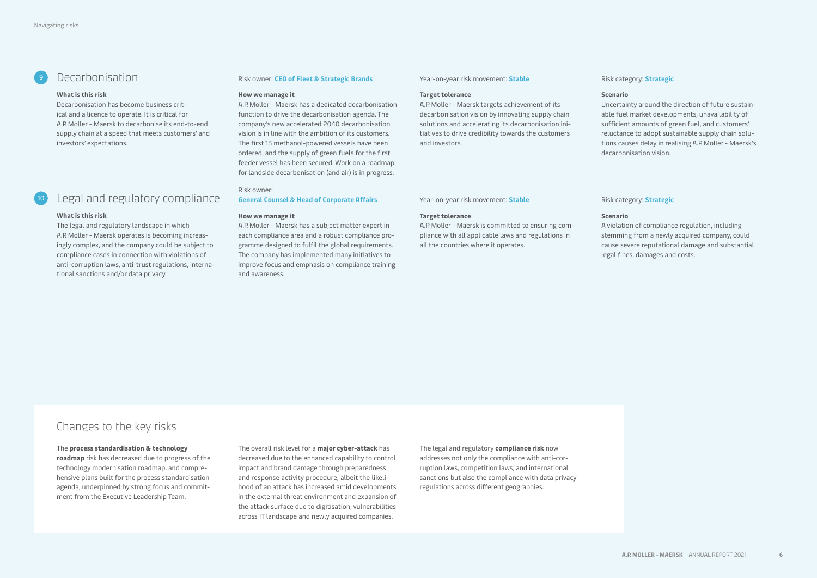## <sup>9</sup> Decarbonisation Risk owner: **CEO of Fleet & Strategic Brands** Year-on-year risk movement: **Stable** Risk category: **Strategic**

#### **What is this risk**

Decarbonisation has become business critical and a licence to operate. It is critical for A.P. Moller - Maersk to decarbonise its end-to-end supply chain at a speed that meets customers' and investors' expectations.

#### **How we manage it**

A.P. Moller - Maersk has a dedicated decarbonisation function to drive the decarbonisation agenda. The company's new accelerated 2040 decarbonisation vision is in line with the ambition of its customers. The first 13 methanol-powered vessels have been ordered, and the supply of green fuels for the first feeder vessel has been secured. Work on a roadmap for landside decarbonisation (and air) is in progress.

#### **Target tolerance**

A.P. Moller - Maersk targets achievement of its decarbonisation vision by innovating supply chain solutions and accelerating its decarbonisation initiatives to drive credibility towards the customers and investors.

#### **Scenario**

Uncertainty around the direction of future sustainable fuel market developments, unavailability of sufficient amounts of green fuel, and customers' reluctance to adopt sustainable supply chain solutions causes delay in realising A.P. Moller - Maersk's decarbonisation vision.

#### Risk owner:

### **General Counsel & Head of Corporate Affairs** Year-on-year risk movement: **Stable** Risk category: **Strategic**

#### **What is this risk**

The legal and regulatory landscape in which A.P. Moller - Maersk operates is becoming increasingly complex, and the company could be subject to compliance cases in connection with violations of anti-corruption laws, anti-trust regulations, international sanctions and/or data privacy.

Legal and regulatory compliance

#### **How we manage it**

A.P. Moller - Maersk has a subject matter expert in each compliance area and a robust compliance programme designed to fulfil the global requirements. The company has implemented many initiatives to improve focus and emphasis on compliance training and awareness.

## **Target tolerance**

A.P. Moller - Maersk is committed to ensuring compliance with all applicable laws and regulations in all the countries where it operates.

## **Scenario**

A violation of compliance regulation, including stemming from a newly acquired company, could cause severe reputational damage and substantial legal fines, damages and costs.

# Changes to the key risks

#### The **process standardisation & technology**

**roadmap** risk has decreased due to progress of the technology modernisation roadmap, and comprehensive plans built for the process standardisation agenda, underpinned by strong focus and commitment from the Executive Leadership Team.

The overall risk level for a **major cyber-attack** has decreased due to the enhanced capability to control impact and brand damage through preparedness and response activity procedure, albeit the likelihood of an attack has increased amid developments in the external threat environment and expansion of the attack surface due to digitisation, vulnerabilities across IT landscape and newly acquired companies.

The legal and regulatory **compliance risk** now addresses not only the compliance with anti-corruption laws, competition laws, and international sanctions but also the compliance with data privacy regulations across different geographies.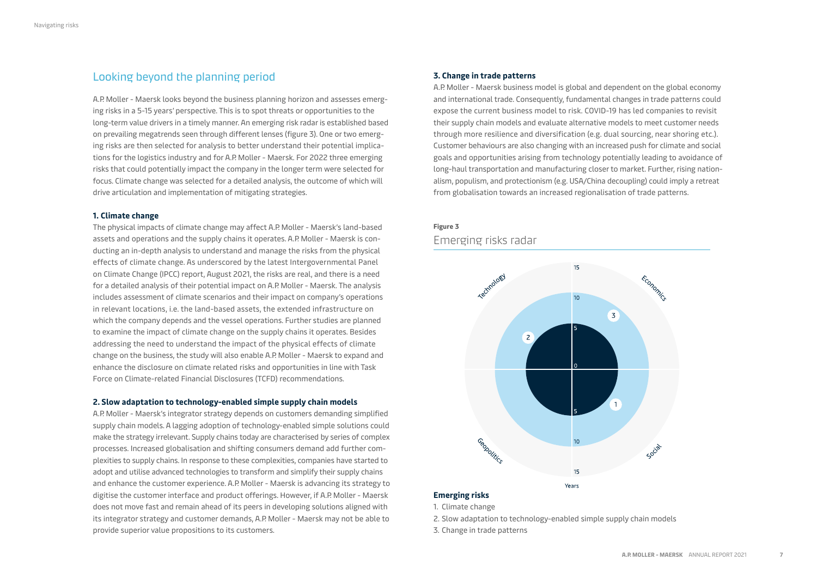# Looking beyond the planning period

A.P. Moller - Maersk looks beyond the business planning horizon and assesses emerging risks in a 5-15 years' perspective. This is to spot threats or opportunities to the long-term value drivers in a timely manner. An emerging risk radar is established based on prevailing megatrends seen through different lenses (figure 3). One or two emerging risks are then selected for analysis to better understand their potential implications for the logistics industry and for A.P. Moller - Maersk. For 2022 three emerging risks that could potentially impact the company in the longer term were selected for focus. Climate change was selected for a detailed analysis, the outcome of which will drive articulation and implementation of mitigating strategies.

## **1. Climate change**

The physical impacts of climate change may affect A.P. Moller - Maersk's land-based assets and operations and the supply chains it operates. A.P. Moller - Maersk is conducting an in-depth analysis to understand and manage the risks from the physical effects of climate change. As underscored by the latest Intergovernmental Panel on Climate Change (IPCC) report, August 2021, the risks are real, and there is a need for a detailed analysis of their potential impact on A.P. Moller - Maersk. The analysis includes assessment of climate scenarios and their impact on company's operations in relevant locations, i.e. the land-based assets, the extended infrastructure on which the company depends and the vessel operations. Further studies are planned to examine the impact of climate change on the supply chains it operates. Besides addressing the need to understand the impact of the physical effects of climate change on the business, the study will also enable A.P. Moller - Maersk to expand and enhance the disclosure on climate related risks and opportunities in line with Task Force on Climate-related Financial Disclosures (TCFD) recommendations.

## **2. Slow adaptation to technology-enabled simple supply chain models**

A.P. Moller - Maersk's integrator strategy depends on customers demanding simplified supply chain models. A lagging adoption of technology-enabled simple solutions could make the strategy irrelevant. Supply chains today are characterised by series of complex processes. Increased globalisation and shifting consumers demand add further complexities to supply chains. In response to these complexities, companies have started to adopt and utilise advanced technologies to transform and simplify their supply chains and enhance the customer experience. A.P. Moller - Maersk is advancing its strategy to digitise the customer interface and product offerings. However, if A.P. Moller - Maersk does not move fast and remain ahead of its peers in developing solutions aligned with its integrator strategy and customer demands, A.P. Moller - Maersk may not be able to provide superior value propositions to its customers.

## **3. Change in trade patterns**

A.P. Moller - Maersk business model is global and dependent on the global economy and international trade. Consequently, fundamental changes in trade patterns could expose the current business model to risk. COVID-19 has led companies to revisit their supply chain models and evaluate alternative models to meet customer needs through more resilience and diversification (e.g. dual sourcing, near shoring etc.). Customer behaviours are also changing with an increased push for climate and social goals and opportunities arising from technology potentially leading to avoidance of long-haul transportation and manufacturing closer to market. Further, rising nationalism, populism, and protectionism (e.g. USA/China decoupling) could imply a retreat from globalisation towards an increased regionalisation of trade patterns.

# **Figure 3**  Emerging risks radar



1. Climate change

- 2. Slow adaptation to technology-enabled simple supply chain models
- 3. Change in trade patterns